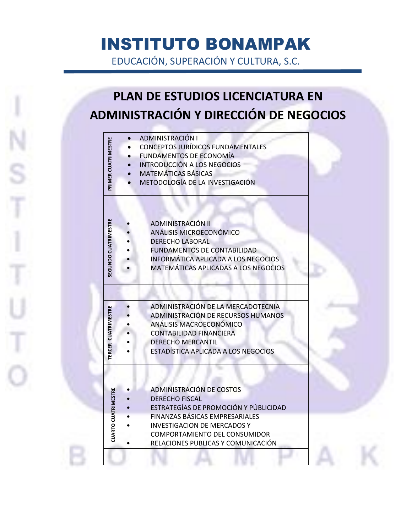## INSTITUTO BONAMPAK

EDUCACIÓN, SUPERACIÓN Y CULTURA, S.C.

## **PLAN DE ESTUDIOS LICENCIATURA EN ADMINISTRACIÓN Y DIRECCIÓN DE NEGOCIOS**

| PRIMER CUATRIMESTRE         | ADMINISTRACIÓN I                         |
|-----------------------------|------------------------------------------|
|                             | <b>CONCEPTOS JURÍDICOS FUNDAMENTALES</b> |
|                             | <b>FUNDAMENTOS DE ECONOMÍA</b>           |
|                             | <b>INTRODUCCIÓN A LOS NEGOCIOS</b>       |
|                             | <b>MATEMÁTICAS BÁSICAS</b>               |
|                             | METODOLOGÍA DE LA INVESTIGACIÓN          |
|                             |                                          |
|                             |                                          |
|                             |                                          |
| <b>SEGUNDO CUATRIMESTRE</b> | <b>ADMINISTRACIÓN II</b>                 |
|                             | ANÁLISIS MICROECONÓMICO                  |
|                             | <b>DERECHO LABORAL</b>                   |
|                             | <b>FUNDAMENTOS DE CONTABILIDAD</b>       |
|                             | INFORMÁTICA APLICADA A LOS NEGOCIOS      |
|                             | MATEMÁTICAS APLICADAS A LOS NEGOCIOS     |
|                             |                                          |
|                             |                                          |
|                             | ADMINISTRACIÓN DE LA MERCADOTECNIA       |
|                             | ADMINISTRACIÓN DE RECURSOS HUMANOS       |
|                             | ANÁLISIS MACROECONÓMICO                  |
|                             | <b>CONTABILIDAD FINANCIERA</b>           |
|                             | <b>DERECHO MERCANTIL</b>                 |
| TERCER CUATRIMESTRE         | ESTADÍSTICA APLICADA A LOS NEGOCIOS      |
|                             |                                          |
|                             |                                          |
|                             | <b>ADMINISTRACIÓN DE COSTOS</b>          |
|                             | <b>DERECHO FISCAL</b>                    |
|                             | ESTRATEGÍAS DE PROMOCIÓN Y PÚBLICIDAD    |
| <b>CUARTO CUATRIMESTRE</b>  | FINANZAS BÁSICAS EMPRESARIALES           |
|                             | <b>INVESTIGACION DE MERCADOS Y</b>       |
|                             | COMPORTAMIENTO DEL CONSUMIDOR            |
|                             | RELACIONES PUBLICAS Y COMUNICACIÓN       |
|                             |                                          |